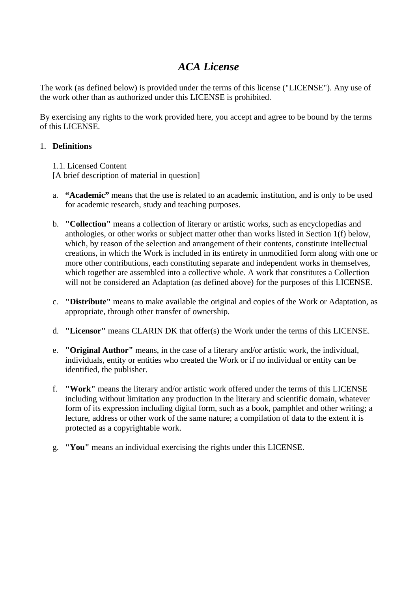## *ACA License*

The work (as defined below) is provided under the terms of this license ("LICENSE"). Any use of the work other than as authorized under this LICENSE is prohibited.

By exercising any rights to the work provided here, you accept and agree to be bound by the terms of this LICENSE.

## 1. **Definitions**

1.1. Licensed Content

[A brief description of material in question]

- a. **"Academic"** means that the use is related to an academic institution, and is only to be used for academic research, study and teaching purposes.
- b. **"Collection"** means a collection of literary or artistic works, such as encyclopedias and anthologies, or other works or subject matter other than works listed in Section 1(f) below, which, by reason of the selection and arrangement of their contents, constitute intellectual creations, in which the Work is included in its entirety in unmodified form along with one or more other contributions, each constituting separate and independent works in themselves, which together are assembled into a collective whole. A work that constitutes a Collection will not be considered an Adaptation (as defined above) for the purposes of this LICENSE.
- c. **"Distribute"** means to make available the original and copies of the Work or Adaptation, as appropriate, through other transfer of ownership.
- d. **"Licensor"** means CLARIN DK that offer(s) the Work under the terms of this LICENSE.
- e. **"Original Author"** means, in the case of a literary and/or artistic work, the individual, individuals, entity or entities who created the Work or if no individual or entity can be identified, the publisher.
- f. **"Work"** means the literary and/or artistic work offered under the terms of this LICENSE including without limitation any production in the literary and scientific domain, whatever form of its expression including digital form, such as a book, pamphlet and other writing; a lecture, address or other work of the same nature; a compilation of data to the extent it is protected as a copyrightable work.
- g. **"You"** means an individual exercising the rights under this LICENSE.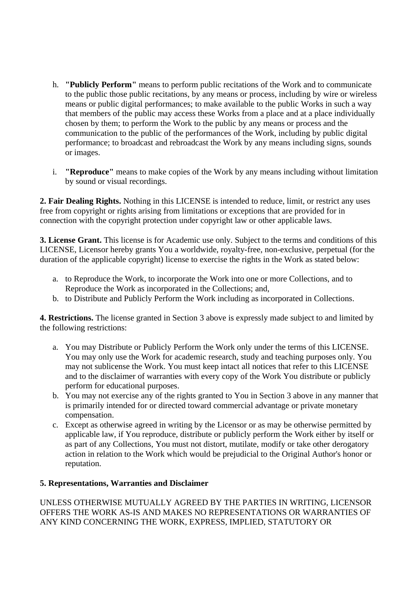- h. **"Publicly Perform"** means to perform public recitations of the Work and to communicate to the public those public recitations, by any means or process, including by wire or wireless means or public digital performances; to make available to the public Works in such a way that members of the public may access these Works from a place and at a place individually chosen by them; to perform the Work to the public by any means or process and the communication to the public of the performances of the Work, including by public digital performance; to broadcast and rebroadcast the Work by any means including signs, sounds or images.
- i. **"Reproduce"** means to make copies of the Work by any means including without limitation by sound or visual recordings.

**2. Fair Dealing Rights.** Nothing in this LICENSE is intended to reduce, limit, or restrict any uses free from copyright or rights arising from limitations or exceptions that are provided for in connection with the copyright protection under copyright law or other applicable laws.

**3. License Grant.** This license is for Academic use only. Subject to the terms and conditions of this LICENSE, Licensor hereby grants You a worldwide, royalty-free, non-exclusive, perpetual (for the duration of the applicable copyright) license to exercise the rights in the Work as stated below:

- a. to Reproduce the Work, to incorporate the Work into one or more Collections, and to Reproduce the Work as incorporated in the Collections; and,
- b. to Distribute and Publicly Perform the Work including as incorporated in Collections.

**4. Restrictions.** The license granted in Section 3 above is expressly made subject to and limited by the following restrictions:

- a. You may Distribute or Publicly Perform the Work only under the terms of this LICENSE. You may only use the Work for academic research, study and teaching purposes only. You may not sublicense the Work. You must keep intact all notices that refer to this LICENSE and to the disclaimer of warranties with every copy of the Work You distribute or publicly perform for educational purposes.
- b. You may not exercise any of the rights granted to You in Section 3 above in any manner that is primarily intended for or directed toward commercial advantage or private monetary compensation.
- c. Except as otherwise agreed in writing by the Licensor or as may be otherwise permitted by applicable law, if You reproduce, distribute or publicly perform the Work either by itself or as part of any Collections, You must not distort, mutilate, modify or take other derogatory action in relation to the Work which would be prejudicial to the Original Author's honor or reputation.

## **5. Representations, Warranties and Disclaimer**

UNLESS OTHERWISE MUTUALLY AGREED BY THE PARTIES IN WRITING, LICENSOR OFFERS THE WORK AS-IS AND MAKES NO REPRESENTATIONS OR WARRANTIES OF ANY KIND CONCERNING THE WORK, EXPRESS, IMPLIED, STATUTORY OR